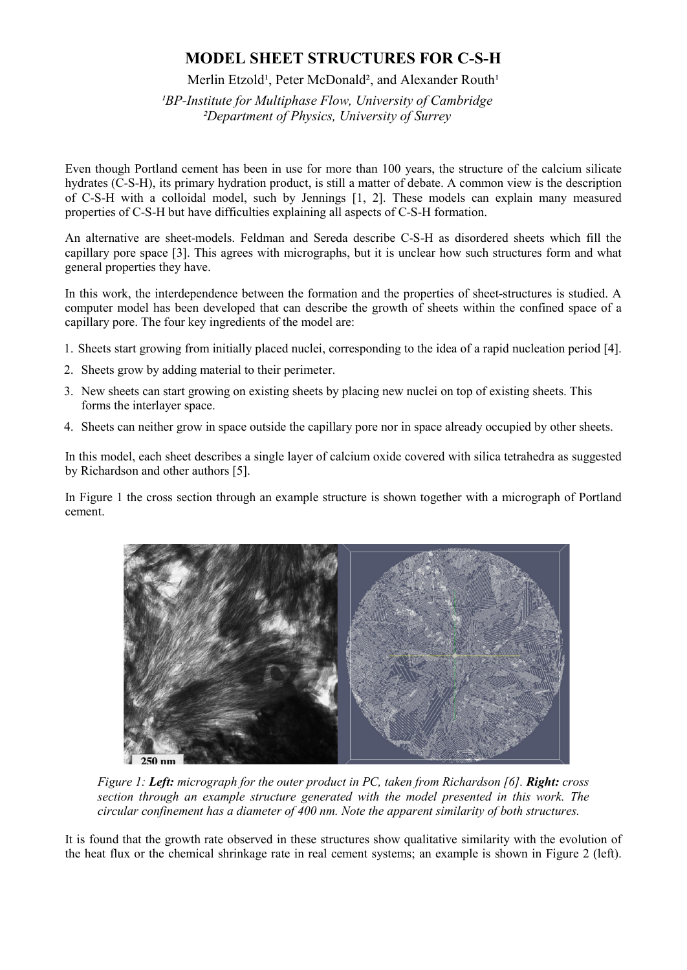## **MODEL SHEET STRUCTURES FOR C-S-H**

## Merlin Etzold<sup>1</sup>, Peter McDonald<sup>2</sup>, and Alexander Routh<sup>1</sup>

*¹BP-Institute for Multiphase Flow, University of Cambridge ²Department of Physics, University of Surrey*

Even though Portland cement has been in use for more than 100 years, the structure of the calcium silicate hydrates (C-S-H), its primary hydration product, is still a matter of debate. A common view is the description of C-S-H with a colloidal model, such by Jennings [1, 2]. These models can explain many measured properties of C-S-H but have difficulties explaining all aspects of C-S-H formation.

An alternative are sheet-models. Feldman and Sereda describe C-S-H as disordered sheets which fill the capillary pore space [3]. This agrees with micrographs, but it is unclear how such structures form and what general properties they have.

In this work, the interdependence between the formation and the properties of sheet-structures is studied. A computer model has been developed that can describe the growth of sheets within the confined space of a capillary pore. The four key ingredients of the model are:

- 1. Sheets start growing from initially placed nuclei, corresponding to the idea of a rapid nucleation period [4].
- 2. Sheets grow by adding material to their perimeter.
- 3. New sheets can start growing on existing sheets by placing new nuclei on top of existing sheets. This forms the interlayer space.
- 4. Sheets can neither grow in space outside the capillary pore nor in space already occupied by other sheets.

In this model, each sheet describes a single layer of calcium oxide covered with silica tetrahedra as suggested by Richardson and other authors [5].

In Figure 1 the cross section through an example structure is shown together with a micrograph of Portland cement.



*Figure 1: Left: micrograph for the outer product in PC, taken from Richardson [6]. Right: cross section through an example structure generated with the model presented in this work. The circular confinement has a diameter of 400 nm. Note the apparent similarity of both structures.*

It is found that the growth rate observed in these structures show qualitative similarity with the evolution of the heat flux or the chemical shrinkage rate in real cement systems; an example is shown in Figure 2 (left).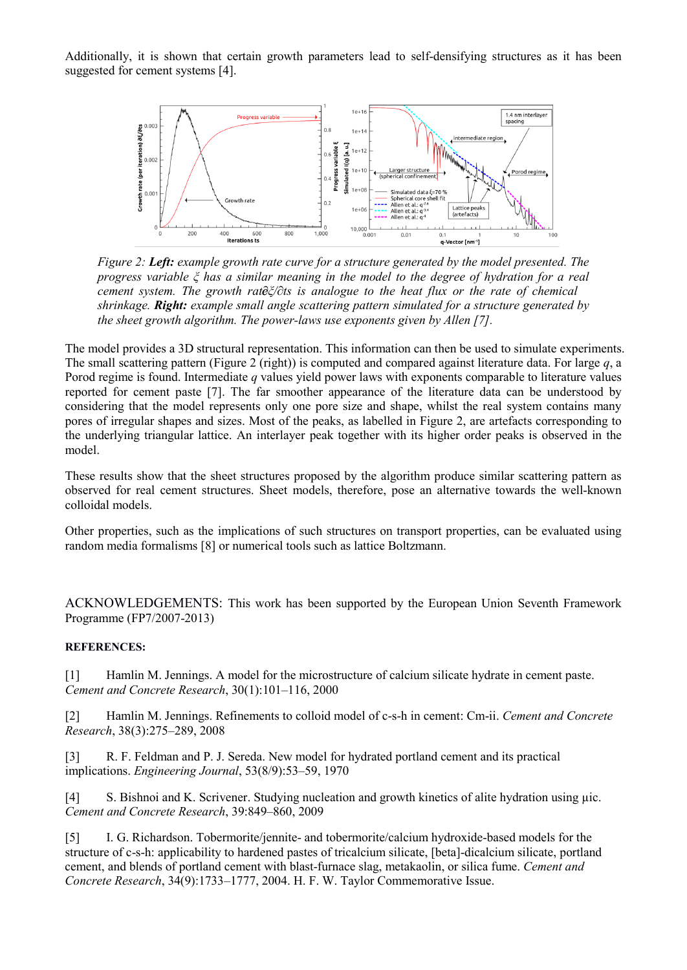Additionally, it is shown that certain growth parameters lead to self-densifying structures as it has been suggested for cement systems [4].



*Figure 2: Left: example growth rate curve for a structure generated by the model presented. The progress variable ξ has a similar meaning in the model to the degree of hydration for a real cement system. The growth rate ∂ξ/∂ts is analogue to the heat flux or the rate of chemical shrinkage. Right: example small angle scattering pattern simulated for a structure generated by the sheet growth algorithm. The power-laws use exponents given by Allen [7].*

The model provides a 3D structural representation. This information can then be used to simulate experiments. The small scattering pattern (Figure 2 (right)) is computed and compared against literature data. For large *q*, a Porod regime is found. Intermediate *q* values yield power laws with exponents comparable to literature values reported for cement paste [7]. The far smoother appearance of the literature data can be understood by considering that the model represents only one pore size and shape, whilst the real system contains many pores of irregular shapes and sizes. Most of the peaks, as labelled in Figure 2, are artefacts corresponding to the underlying triangular lattice. An interlayer peak together with its higher order peaks is observed in the model.

These results show that the sheet structures proposed by the algorithm produce similar scattering pattern as observed for real cement structures. Sheet models, therefore, pose an alternative towards the well-known colloidal models.

Other properties, such as the implications of such structures on transport properties, can be evaluated using random media formalisms [8] or numerical tools such as lattice Boltzmann.

ACKNOWLEDGEMENTS: This work has been supported by the European Union Seventh Framework Programme (FP7/2007-2013)

## **REFERENCES:**

[1] Hamlin M. Jennings. A model for the microstructure of calcium silicate hydrate in cement paste. *Cement and Concrete Research*, 30(1):101–116, 2000

[2] Hamlin M. Jennings. Refinements to colloid model of c-s-h in cement: Cm-ii. *Cement and Concrete Research*, 38(3):275–289, 2008

[3] R. F. Feldman and P. J. Sereda. New model for hydrated portland cement and its practical implications. *Engineering Journal*, 53(8/9):53–59, 1970

[4] S. Bishnoi and K. Scrivener. Studying nucleation and growth kinetics of alite hydration using  $\mu$ ic. *Cement and Concrete Research*, 39:849–860, 2009

[5] I. G. Richardson. Tobermorite/jennite- and tobermorite/calcium hydroxide-based models for the structure of c-s-h: applicability to hardened pastes of tricalcium silicate, [beta]-dicalcium silicate, portland cement, and blends of portland cement with blast-furnace slag, metakaolin, or silica fume. *Cement and Concrete Research*, 34(9):1733–1777, 2004. H. F. W. Taylor Commemorative Issue.